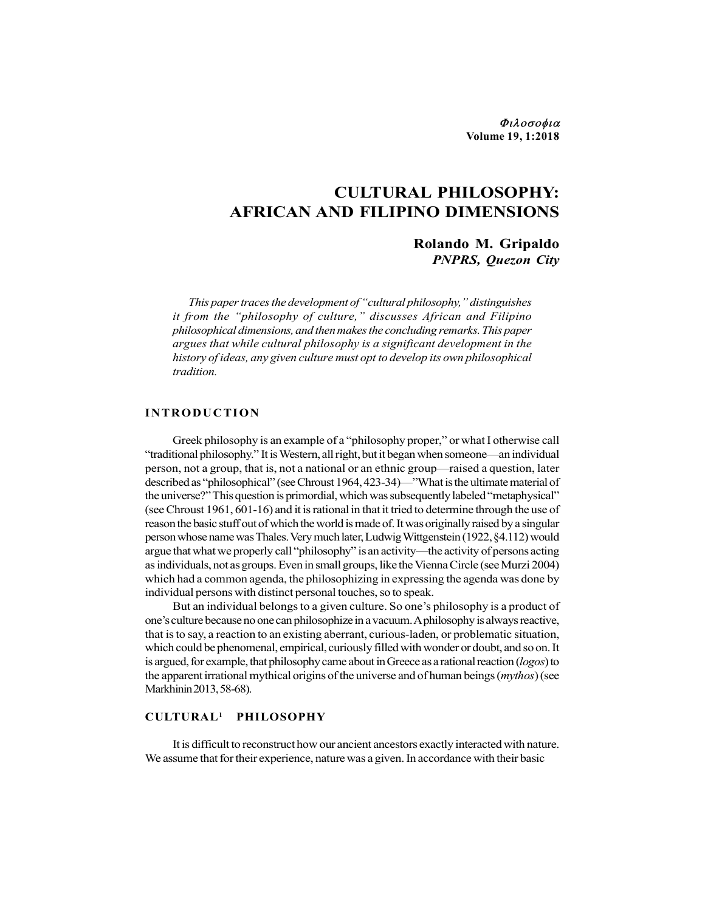Φιλοσοφια Volume 19, 1:2018

# CULTURAL PHILOSOPHY: AFRICAN AND FILIPINO DIMENSIONS

## Rolando M. Gripaldo PNPRS, Quezon City

This paper traces the development of "cultural philosophy," distinguishes it from the "philosophy of culture," discusses African and Filipino philosophical dimensions, and then makes the concluding remarks. This paper argues that while cultural philosophy is a significant development in the history of ideas, any given culture must opt to develop its own philosophical tradition. **EXECUTE ON AND FILIPINO DIMENSIONS**<br> **CULTURAL PHILOSOPHY:**<br> **CULTURAL PHILOSOPHY:**<br> **AFRICAN AND FILIPINO DIMENSIONS**<br> **Rolando M. Gripaldo**<br> *PNPRS, Quezon City*<br> *This pape traces the development of "cultural philosop* 

Greek philosophy is an example of a "philosophy proper," or what I otherwise call "traditional philosophy." It is Western, all right, but it began when someone—an individual person, not a group, that is, not a national or an ethnic group—raised a question, later described as "philosophical" (see Chroust 1964, 423-34)—"What is the ultimate material of the universe?" This question is primordial, which was subsequently labeled "metaphysical" (see Chroust 1961, 601-16) and it is rational in that it tried to determine through the use of reason the basic stuff out of which the world is made of. It was originally raised by a singular person whose name was Thales. Very much later, Ludwig Wittgenstein (1922, §4.112) would argue that what we properly call "philosophy" is an activity—the activity of persons acting as individuals, not as groups. Even in small groups, like the Vienna Circle (see Murzi 2004) which had a common agenda, the philosophizing in expressing the agenda was done by individual persons with distinct personal touches, so to speak.

But an individual belongs to a given culture. So one's philosophy is a product of one's culture because no one can philosophize in a vacuum. A philosophy is always reactive, that is to say, a reaction to an existing aberrant, curious-laden, or problematic situation, which could be phenomenal, empirical, curiously filled with wonder or doubt, and so on. It is argued, for example, that philosophy came about in Greece as a rational reaction (logos) to the apparent irrational mythical origins of the universe and of human beings (*mythos*) (see Markhinin 2013, 58-68).

### CULTURAL1 PHILOSOPHY

It is difficult to reconstruct how our ancient ancestors exactly interacted with nature. We assume that for their experience, nature was a given. In accordance with their basic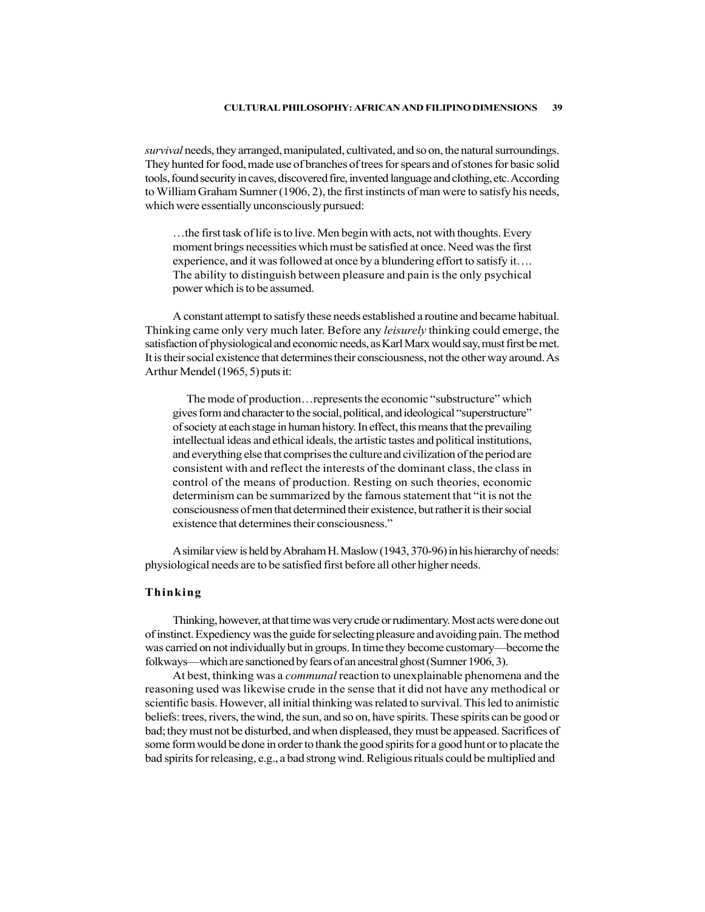survival needs, they arranged, manipulated, cultivated, and so on, the natural surroundings. They hunted for food, made use of branches of trees for spears and of stones for basic solid tools, found security in caves, discovered fire, invented language and clothing, etc. According to William Graham Sumner (1906, 2), the first instincts of man were to satisfy his needs, which were essentially unconsciously pursued:

…the first task of life is to live. Men begin with acts, not with thoughts. Every moment brings necessities which must be satisfied at once. Need was the first experience, and it was followed at once by a blundering effort to satisfy it…. The ability to distinguish between pleasure and pain is the only psychical power which is to be assumed.

A constant attempt to satisfy these needs established a routine and became habitual. Thinking came only very much later. Before any *leisurely* thinking could emerge, the satisfaction of physiological and economic needs, as Karl Marx would say, must first be met. It is their social existence that determines their consciousness, not the other way around. As Arthur Mendel (1965, 5) puts it:

The mode of production…represents the economic "substructure" which gives form and character to the social, political, and ideological "superstructure" of society at each stage in human history. In effect, this means that the prevailing intellectual ideas and ethical ideals, the artistic tastes and political institutions, and everything else that comprises the culture and civilization of the period are consistent with and reflect the interests of the dominant class, the class in control of the means of production. Resting on such theories, economic determinism can be summarized by the famous statement that "it is not the consciousness of men that determined their existence, but rather it is their social existence that determines their consciousness."

A similar view is held by Abraham H. Maslow (1943, 370-96) in his hierarchy of needs: physiological needs are to be satisfied first before all other higher needs.

### Thinking

Thinking, however, at that time was very crude or rudimentary. Most acts were done out of instinct. Expediency was the guide for selecting pleasure and avoiding pain. The method was carried on not individually but in groups. In time they become customary—become the folkways—which are sanctioned by fears of an ancestral ghost (Sumner 1906, 3).

At best, thinking was a communal reaction to unexplainable phenomena and the reasoning used was likewise crude in the sense that it did not have any methodical or scientific basis. However, all initial thinking was related to survival. This led to animistic beliefs: trees, rivers, the wind, the sun, and so on, have spirits. These spirits can be good or bad; they must not be disturbed, and when displeased, they must be appeased. Sacrifices of some form would be done in order to thank the good spirits for a good hunt or to placate the bad spirits for releasing, e.g., a bad strong wind. Religious rituals could be multiplied and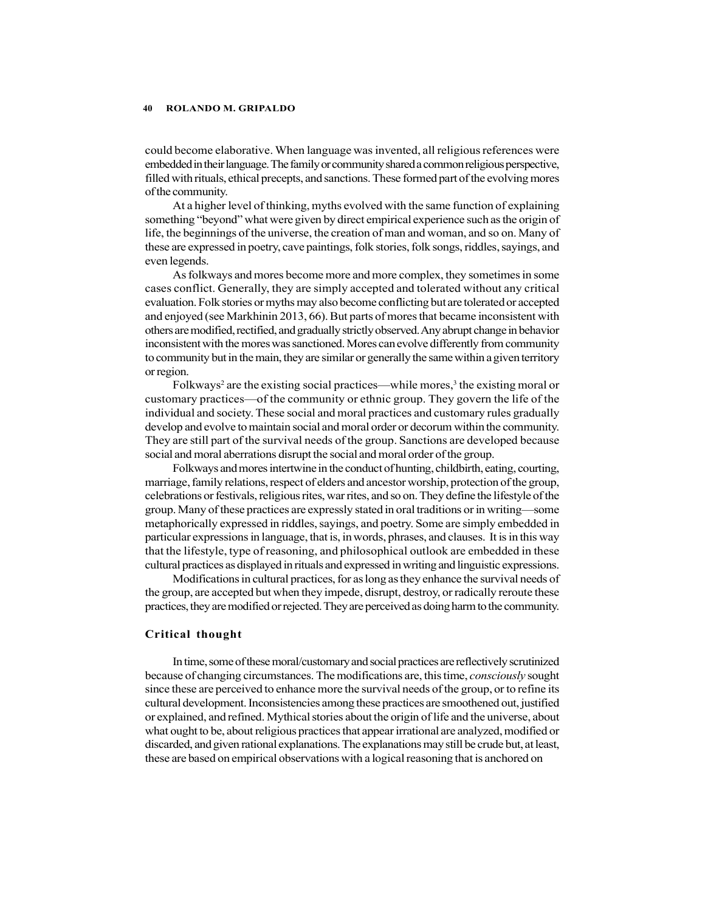could become elaborative. When language was invented, all religious references were embedded in their language. The family or community shared a common religious perspective, filled with rituals, ethical precepts, and sanctions. These formed part of the evolving mores of the community.

At a higher level of thinking, myths evolved with the same function of explaining something "beyond" what were given by direct empirical experience such as the origin of life, the beginnings of the universe, the creation of man and woman, and so on. Many of these are expressed in poetry, cave paintings, folk stories, folk songs, riddles, sayings, and even legends.

As folkways and mores become more and more complex, they sometimes in some cases conflict. Generally, they are simply accepted and tolerated without any critical evaluation. Folk stories or myths may also become conflicting but are tolerated or accepted and enjoyed (see Markhinin 2013, 66). But parts of mores that became inconsistent with others are modified, rectified, and gradually strictly observed. Any abrupt change in behavior inconsistent with the mores was sanctioned. Mores can evolve differently from community to community but in the main, they are similar or generally the same within a given territory or region.

Folkways<sup>2</sup> are the existing social practices—while mores,<sup>3</sup> the existing moral or customary practices—of the community or ethnic group. They govern the life of the individual and society. These social and moral practices and customary rules gradually develop and evolve to maintain social and moral order or decorum within the community. They are still part of the survival needs of the group. Sanctions are developed because social and moral aberrations disrupt the social and moral order of the group.

Folkways and mores intertwine in the conduct of hunting, childbirth, eating, courting, marriage, family relations, respect of elders and ancestor worship, protection of the group, celebrations or festivals, religious rites, war rites, and so on. They define the lifestyle of the group. Many of these practices are expressly stated in oral traditions or in writing—some metaphorically expressed in riddles, sayings, and poetry. Some are simply embedded in particular expressions in language, that is, in words, phrases, and clauses. It is in this way that the lifestyle, type of reasoning, and philosophical outlook are embedded in these cultural practices as displayed in rituals and expressed in writing and linguistic expressions.

Modifications in cultural practices, for as long as they enhance the survival needs of the group, are accepted but when they impede, disrupt, destroy, or radically reroute these practices, they are modified or rejected. They are perceived as doing harm to the community.

#### Critical thought

In time, some of these moral/customary and social practices are reflectively scrutinized because of changing circumstances. The modifications are, this time, consciously sought since these are perceived to enhance more the survival needs of the group, or to refine its cultural development. Inconsistencies among these practices are smoothened out, justified or explained, and refined. Mythical stories about the origin of life and the universe, about what ought to be, about religious practices that appear irrational are analyzed, modified or discarded, and given rational explanations. The explanations may still be crude but, at least, these are based on empirical observations with a logical reasoning that is anchored on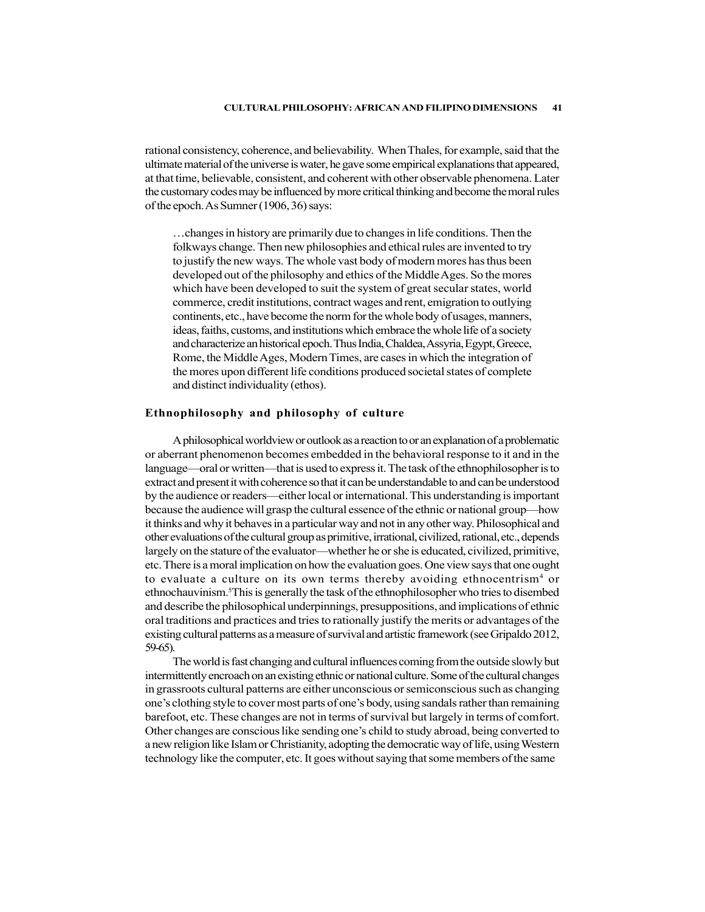rational consistency, coherence, and believability. When Thales, for example, said that the ultimate material of the universe is water, he gave some empirical explanations that appeared, at that time, believable, consistent, and coherent with other observable phenomena. Later the customary codes may be influenced by more critical thinking and become the moral rules of the epoch. As Sumner (1906, 36) says:

…changes in history are primarily due to changes in life conditions. Then the folkways change. Then new philosophies and ethical rules are invented to try to justify the new ways. The whole vast body of modern mores has thus been developed out of the philosophy and ethics of the Middle Ages. So the mores which have been developed to suit the system of great secular states, world commerce, credit institutions, contract wages and rent, emigration to outlying continents, etc., have become the norm for the whole body of usages, manners, ideas, faiths, customs, and institutions which embrace the whole life of a society and characterize an historical epoch. Thus India, Chaldea, Assyria, Egypt, Greece, Rome, the Middle Ages, Modern Times, are cases in which the integration of the mores upon different life conditions produced societal states of complete and distinct individuality (ethos).

#### Ethnophilosophy and philosophy of culture

A philosophical worldview or outlook as a reaction to or an explanation of a problematic or aberrant phenomenon becomes embedded in the behavioral response to it and in the language—oral or written—that is used to express it. The task of the ethnophilosopher is to extract and present it with coherence so that it can be understandable to and can be understood by the audience or readers—either local or international. This understanding is important because the audience will grasp the cultural essence of the ethnic or national group—how it thinks and why it behaves in a particular way and not in any other way. Philosophical and other evaluations of the cultural group as primitive, irrational, civilized, rational, etc., depends largely on the stature of the evaluator—whether he or she is educated, civilized, primitive, etc. There is a moral implication on how the evaluation goes. One view says that one ought to evaluate a culture on its own terms thereby avoiding ethnocentrism<sup>4</sup> or ethnochauvinism.5This is generally the task of the ethnophilosopher who tries to disembed and describe the philosophical underpinnings, presuppositions, and implications of ethnic oral traditions and practices and tries to rationally justify the merits or advantages of the existing cultural patterns as a measure of survival and artistic framework (see Gripaldo 2012, 59-65).

The world is fast changing and cultural influences coming from the outside slowly but intermittently encroach on an existing ethnic or national culture. Some of the cultural changes in grassroots cultural patterns are either unconscious or semiconscious such as changing one's clothing style to cover most parts of one's body, using sandals rather than remaining barefoot, etc. These changes are not in terms of survival but largely in terms of comfort. Other changes are conscious like sending one's child to study abroad, being converted to a new religion like Islam or Christianity, adopting the democratic way of life, using Western technology like the computer, etc. It goes without saying that some members of the same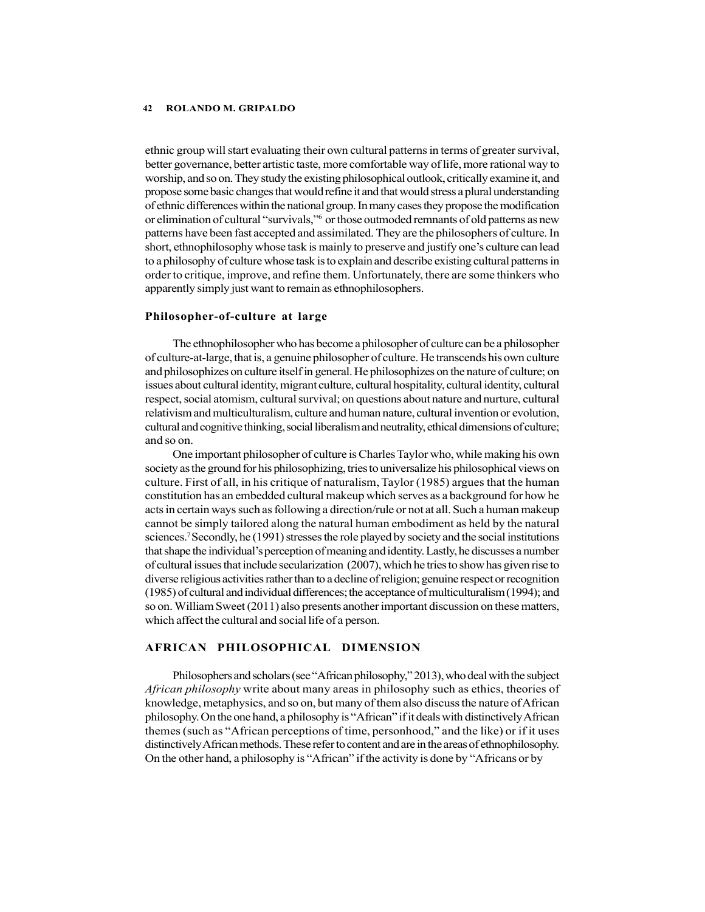ethnic group will start evaluating their own cultural patterns in terms of greater survival, better governance, better artistic taste, more comfortable way of life, more rational way to worship, and so on. They study the existing philosophical outlook, critically examine it, and propose some basic changes that would refine it and that would stress a plural understanding of ethnic differences within the national group. In many cases they propose the modification or elimination of cultural "survivals,"6 or those outmoded remnants of old patterns as new patterns have been fast accepted and assimilated. They are the philosophers of culture. In short, ethnophilosophy whose task is mainly to preserve and justify one's culture can lead to a philosophy of culture whose task is to explain and describe existing cultural patterns in order to critique, improve, and refine them. Unfortunately, there are some thinkers who apparently simply just want to remain as ethnophilosophers.

#### Philosopher-of-culture at large

The ethnophilosopher who has become a philosopher of culture can be a philosopher of culture-at-large, that is, a genuine philosopher of culture. He transcends his own culture and philosophizes on culture itself in general. He philosophizes on the nature of culture; on issues about cultural identity, migrant culture, cultural hospitality, cultural identity, cultural respect, social atomism, cultural survival; on questions about nature and nurture, cultural relativism and multiculturalism, culture and human nature, cultural invention or evolution, cultural and cognitive thinking, social liberalism and neutrality, ethical dimensions of culture; and so on.

One important philosopher of culture is Charles Taylor who, while making his own society as the ground for his philosophizing, tries to universalize his philosophical views on culture. First of all, in his critique of naturalism, Taylor (1985) argues that the human constitution has an embedded cultural makeup which serves as a background for how he acts in certain ways such as following a direction/rule or not at all. Such a human makeup cannot be simply tailored along the natural human embodiment as held by the natural sciences.7 Secondly, he (1991) stresses the role played by society and the social institutions that shape the individual's perception of meaning and identity. Lastly, he discusses a number of cultural issues that include secularization (2007), which he tries to show has given rise to diverse religious activities rather than to a decline of religion; genuine respect or recognition (1985) of cultural and individual differences; the acceptance of multiculturalism (1994); and so on. William Sweet (2011) also presents another important discussion on these matters, which affect the cultural and social life of a person.

#### AFRICAN PHILOSOPHICAL DIMENSION

Philosophers and scholars (see "African philosophy," 2013), who deal with the subject African philosophy write about many areas in philosophy such as ethics, theories of knowledge, metaphysics, and so on, but many of them also discuss the nature of African philosophy. On the one hand, a philosophy is "African" if it deals with distinctively African themes (such as "African perceptions of time, personhood," and the like) or if it uses distinctively African methods. These refer to content and are in the areas of ethnophilosophy. On the other hand, a philosophy is "African" if the activity is done by "Africans or by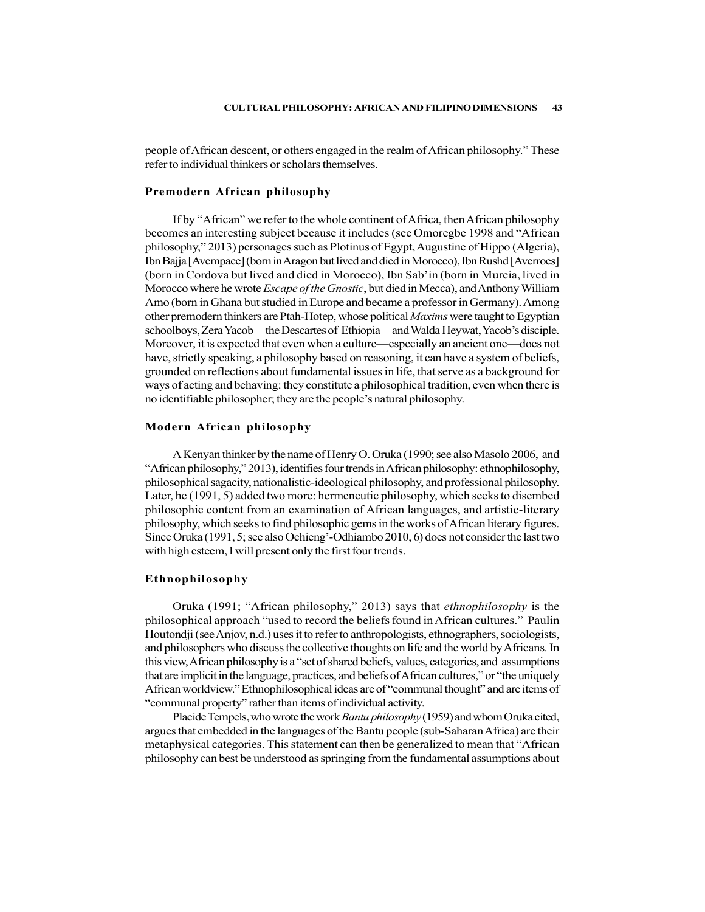people of African descent, or others engaged in the realm of African philosophy." These refer to individual thinkers or scholars themselves.

#### Premodern African philosophy

If by "African" we refer to the whole continent of Africa, then African philosophy becomes an interesting subject because it includes (see Omoregbe 1998 and "African philosophy," 2013) personages such as Plotinus of Egypt, Augustine of Hippo (Algeria), Ibn Bajja [Avempace] (born in Aragon but lived and died in Morocco), Ibn Rushd [Averroes] (born in Cordova but lived and died in Morocco), Ibn Sab'in (born in Murcia, lived in Morocco where he wrote *Escape of the Gnostic*, but died in Mecca), and Anthony William Amo (born in Ghana but studied in Europe and became a professor in Germany). Among other premodern thinkers are Ptah-Hotep, whose political Maxims were taught to Egyptian schoolboys, Zera Yacob—the Descartes of Ethiopia—and Walda Heywat, Yacob's disciple. Moreover, it is expected that even when a culture—especially an ancient one—does not have, strictly speaking, a philosophy based on reasoning, it can have a system of beliefs, grounded on reflections about fundamental issues in life, that serve as a background for ways of acting and behaving: they constitute a philosophical tradition, even when there is no identifiable philosopher; they are the people's natural philosophy.

#### Modern African philosophy

A Kenyan thinker by the name of Henry O. Oruka (1990; see also Masolo 2006, and "African philosophy," 2013), identifies four trends in African philosophy: ethnophilosophy, philosophical sagacity, nationalistic-ideological philosophy, and professional philosophy. Later, he (1991, 5) added two more: hermeneutic philosophy, which seeks to disembed philosophic content from an examination of African languages, and artistic-literary philosophy, which seeks to find philosophic gems in the works of African literary figures. Since Oruka (1991, 5; see also Ochieng'-Odhiambo 2010, 6) does not consider the last two with high esteem, I will present only the first four trends.

#### Ethnophilosophy

Oruka (1991; "African philosophy," 2013) says that ethnophilosophy is the philosophical approach "used to record the beliefs found in African cultures." Paulin Houtondji (see Anjov, n.d.) uses it to refer to anthropologists, ethnographers, sociologists, and philosophers who discuss the collective thoughts on life and the world by Africans. In this view, African philosophy is a "set of shared beliefs, values, categories, and assumptions that are implicit in the language, practices, and beliefs of African cultures," or "the uniquely African worldview." Ethnophilosophical ideas are of "communal thought" and are items of "communal property" rather than items of individual activity.

Placide Tempels, who wrote the work *Bantu philosophy* (1959) and whom Oruka cited, argues that embedded in the languages of the Bantu people (sub-Saharan Africa) are their metaphysical categories. This statement can then be generalized to mean that "African philosophy can best be understood as springing from the fundamental assumptions about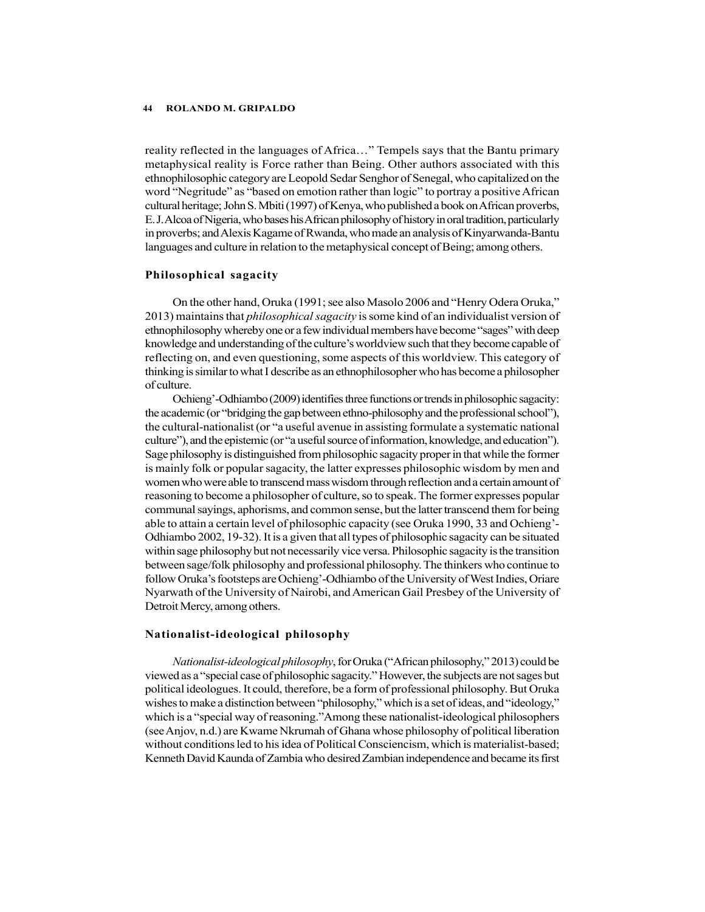reality reflected in the languages of Africa…" Tempels says that the Bantu primary metaphysical reality is Force rather than Being. Other authors associated with this ethnophilosophic category are Leopold Sedar Senghor of Senegal, who capitalized on the word "Negritude" as "based on emotion rather than logic" to portray a positive African cultural heritage; John S. Mbiti (1997) of Kenya, who published a book on African proverbs, E. J. Alcoa of Nigeria, who bases his African philosophy of history in oral tradition, particularly in proverbs; and Alexis Kagame of Rwanda, who made an analysis of Kinyarwanda-Bantu languages and culture in relation to the metaphysical concept of Being; among others.

#### Philosophical sagacity

On the other hand, Oruka (1991; see also Masolo 2006 and "Henry Odera Oruka," 2013) maintains that *philosophical sagacity* is some kind of an individualist version of ethnophilosophy whereby one or a few individual members have become "sages" with deep knowledge and understanding of the culture's worldview such that they become capable of reflecting on, and even questioning, some aspects of this worldview. This category of thinking is similar to what I describe as an ethnophilosopher who has become a philosopher of culture.

Ochieng'-Odhiambo (2009) identifies three functions or trends in philosophic sagacity: the academic (or "bridging the gap between ethno-philosophy and the professional school"), the cultural-nationalist (or "a useful avenue in assisting formulate a systematic national culture"), and the epistemic (or "a useful source of information, knowledge, and education"). Sage philosophy is distinguished from philosophic sagacity proper in that while the former is mainly folk or popular sagacity, the latter expresses philosophic wisdom by men and women who were able to transcend mass wisdom through reflection and a certain amount of reasoning to become a philosopher of culture, so to speak. The former expresses popular communal sayings, aphorisms, and common sense, but the latter transcend them for being able to attain a certain level of philosophic capacity (see Oruka 1990, 33 and Ochieng'- Odhiambo 2002, 19-32). It is a given that all types of philosophic sagacity can be situated within sage philosophy but not necessarily vice versa. Philosophic sagacity is the transition between sage/folk philosophy and professional philosophy. The thinkers who continue to follow Oruka's footsteps are Ochieng'-Odhiambo of the University of West Indies, Oriare Nyarwath of the University of Nairobi, and American Gail Presbey of the University of Detroit Mercy, among others.

### Nationalist-ideological philosophy

Nationalist-ideological philosophy, for Oruka ("African philosophy," 2013) could be viewed as a "special case of philosophic sagacity." However, the subjects are not sages but political ideologues. It could, therefore, be a form of professional philosophy. But Oruka wishes to make a distinction between "philosophy," which is a set of ideas, and "ideology," which is a "special way of reasoning."Among these nationalist-ideological philosophers (see Anjov, n.d.) are Kwame Nkrumah of Ghana whose philosophy of political liberation without conditions led to his idea of Political Consciencism, which is materialist-based; Kenneth David Kaunda of Zambia who desired Zambian independence and became its first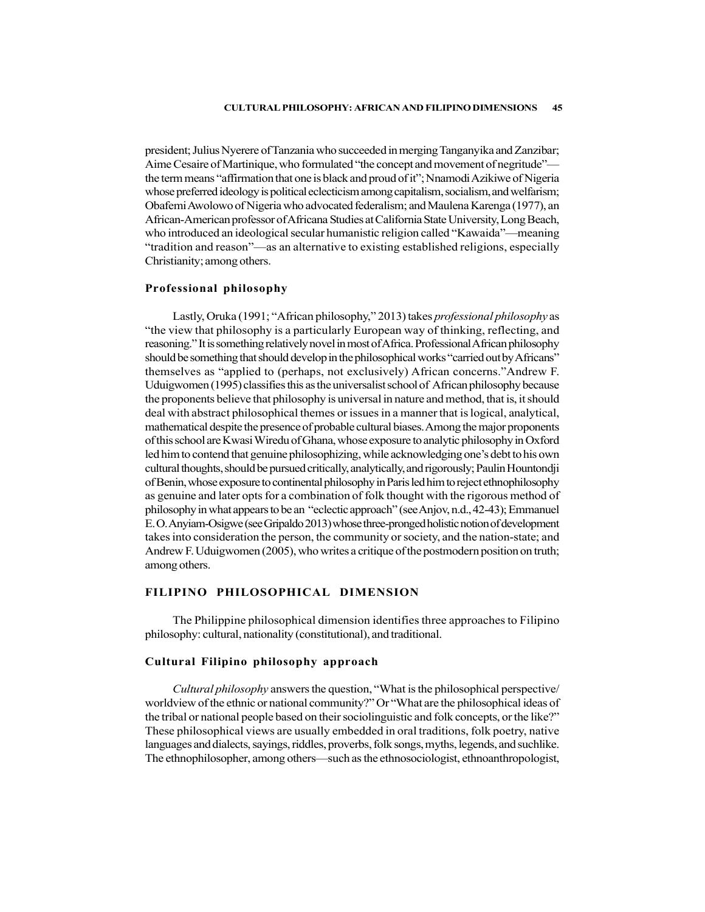president; Julius Nyerere of Tanzania who succeeded in merging Tanganyika and Zanzibar; Aime Cesaire of Martinique, who formulated "the concept and movement of negritude" the term means "affirmation that one is black and proud of it"; Nnamodi Azikiwe of Nigeria whose preferred ideology is political eclecticism among capitalism, socialism, and welfarism; Obafemi Awolowo of Nigeria who advocated federalism; and Maulena Karenga (1977), an African-American professor of Africana Studies at California State University, Long Beach, who introduced an ideological secular humanistic religion called "Kawaida"—meaning "tradition and reason"—as an alternative to existing established religions, especially Christianity; among others.

### Professional philosophy

Lastly, Oruka (1991; "African philosophy," 2013) takes professional philosophy as "the view that philosophy is a particularly European way of thinking, reflecting, and reasoning." It is something relatively novel in most of Africa. Professional African philosophy should be something that should develop in the philosophical works "carried out by Africans" themselves as "applied to (perhaps, not exclusively) African concerns."Andrew F. Uduigwomen (1995) classifies this as the universalist school of African philosophy because the proponents believe that philosophy is universal in nature and method, that is, it should deal with abstract philosophical themes or issues in a manner that is logical, analytical, mathematical despite the presence of probable cultural biases. Among the major proponents of this school are Kwasi Wiredu of Ghana, whose exposure to analytic philosophy in Oxford led him to contend that genuine philosophizing, while acknowledging one's debt to his own cultural thoughts, should be pursued critically, analytically, and rigorously; Paulin Hountondji of Benin, whose exposure to continental philosophy in Paris led him to reject ethnophilosophy as genuine and later opts for a combination of folk thought with the rigorous method of philosophy in what appears to be an "eclectic approach" (see Anjov, n.d., 42-43); Emmanuel E. O. Anyiam-Osigwe (see Gripaldo 2013) whose three-pronged holistic notion of development takes into consideration the person, the community or society, and the nation-state; and Andrew F. Uduigwomen (2005), who writes a critique of the postmodern position on truth; among others.

#### FILIPINO PHILOSOPHICAL DIMENSION

The Philippine philosophical dimension identifies three approaches to Filipino philosophy: cultural, nationality (constitutional), and traditional.

#### Cultural Filipino philosophy approach

Cultural philosophy answers the question, "What is the philosophical perspective/ worldview of the ethnic or national community?" Or "What are the philosophical ideas of the tribal or national people based on their sociolinguistic and folk concepts, or the like?" These philosophical views are usually embedded in oral traditions, folk poetry, native languages and dialects, sayings, riddles, proverbs, folk songs, myths, legends, and suchlike. The ethnophilosopher, among others—such as the ethnosociologist, ethnoanthropologist,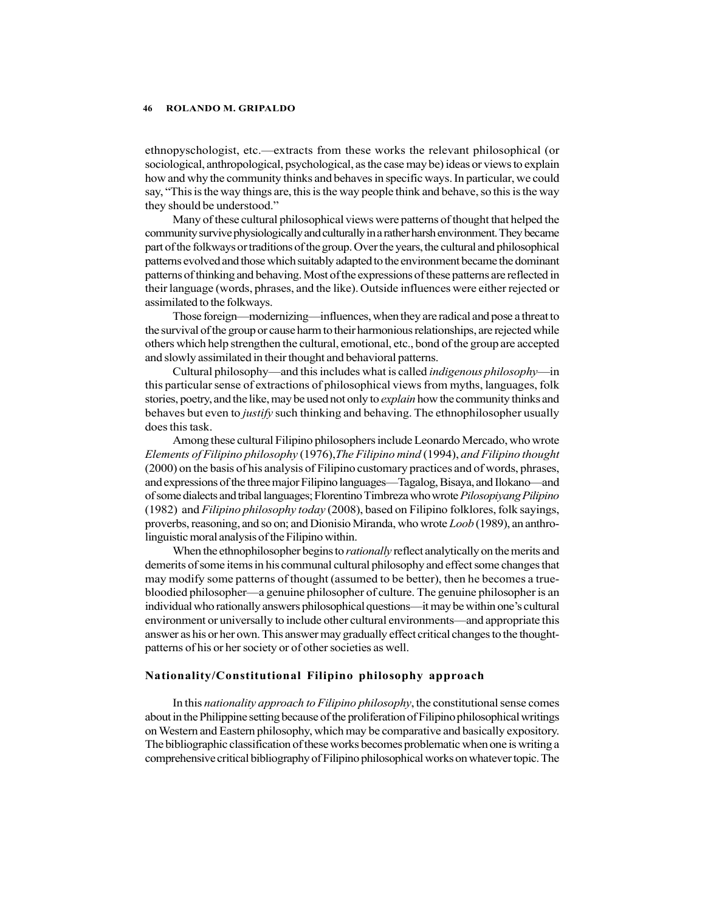ethnopyschologist, etc.—extracts from these works the relevant philosophical (or sociological, anthropological, psychological, as the case may be) ideas or views to explain how and why the community thinks and behaves in specific ways. In particular, we could say, "This is the way things are, this is the way people think and behave, so this is the way they should be understood."

Many of these cultural philosophical views were patterns of thought that helped the community survive physiologically and culturally in a rather harsh environment. They became part of the folkways or traditions of the group. Over the years, the cultural and philosophical patterns evolved and those which suitably adapted to the environment became the dominant patterns of thinking and behaving. Most of the expressions of these patterns are reflected in their language (words, phrases, and the like). Outside influences were either rejected or assimilated to the folkways.

Those foreign—modernizing—influences, when they are radical and pose a threat to the survival of the group or cause harm to their harmonious relationships, are rejected while others which help strengthen the cultural, emotional, etc., bond of the group are accepted and slowly assimilated in their thought and behavioral patterns.

Cultural philosophy—and this includes what is called *indigenous philosophy*—in this particular sense of extractions of philosophical views from myths, languages, folk stories, poetry, and the like, may be used not only to *explain* how the community thinks and behaves but even to *justify* such thinking and behaving. The ethnophilosopher usually does this task.

Among these cultural Filipino philosophers include Leonardo Mercado, who wrote Elements of Filipino philosophy (1976),The Filipino mind (1994), and Filipino thought (2000) on the basis of his analysis of Filipino customary practices and of words, phrases, and expressions of the three major Filipino languages—Tagalog, Bisaya, and Ilokano—and of some dialects and tribal languages; Florentino Timbreza who wrote Pilosopiyang Pilipino (1982) and *Filipino philosophy today* (2008), based on Filipino folklores, folk sayings, proverbs, reasoning, and so on; and Dionisio Miranda, who wrote Loob (1989), an anthrolinguistic moral analysis of the Filipino within.

When the ethnophilosopher begins to *rationally* reflect analytically on the merits and demerits of some items in his communal cultural philosophy and effect some changes that may modify some patterns of thought (assumed to be better), then he becomes a truebloodied philosopher—a genuine philosopher of culture. The genuine philosopher is an individual who rationally answers philosophical questions—it may be within one's cultural environment or universally to include other cultural environments—and appropriate this answer as his or her own. This answer may gradually effect critical changes to the thoughtpatterns of his or her society or of other societies as well.

#### Nationality/Constitutional Filipino philosophy approach

In this nationality approach to Filipino philosophy, the constitutional sense comes about in the Philippine setting because of the proliferation of Filipino philosophical writings on Western and Eastern philosophy, which may be comparative and basically expository. The bibliographic classification of these works becomes problematic when one is writing a comprehensive critical bibliography of Filipino philosophical works on whatever topic. The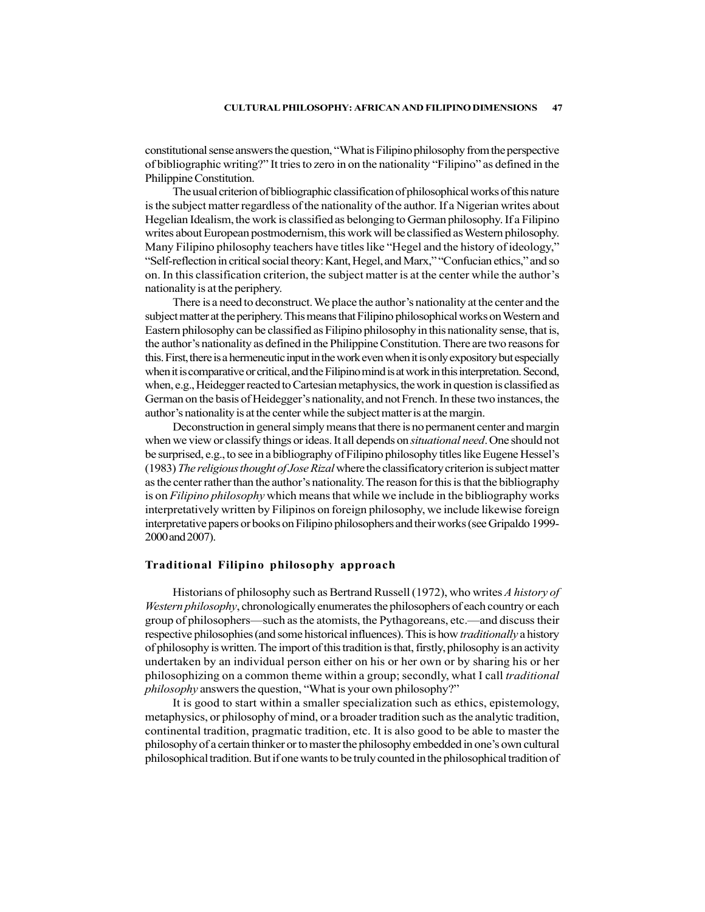constitutional sense answers the question, "What is Filipino philosophy from the perspective of bibliographic writing?" It tries to zero in on the nationality "Filipino" as defined in the Philippine Constitution.

The usual criterion of bibliographic classification of philosophical works of this nature is the subject matter regardless of the nationality of the author. If a Nigerian writes about Hegelian Idealism, the work is classified as belonging to German philosophy. If a Filipino writes about European postmodernism, this work will be classified as Western philosophy. Many Filipino philosophy teachers have titles like "Hegel and the history of ideology," "Self-reflection in critical social theory: Kant, Hegel, and Marx," "Confucian ethics," and so on. In this classification criterion, the subject matter is at the center while the author's nationality is at the periphery.

There is a need to deconstruct. We place the author's nationality at the center and the subject matter at the periphery. This means that Filipino philosophical works on Western and Eastern philosophy can be classified as Filipino philosophy in this nationality sense, that is, the author's nationality as defined in the Philippine Constitution. There are two reasons for this. First, there is a hermeneutic input in the work even when it is only expository but especially when it is comparative or critical, and the Filipino mind is at work in this interpretation. Second, when, e.g., Heidegger reacted to Cartesian metaphysics, the work in question is classified as German on the basis of Heidegger's nationality, and not French. In these two instances, the author's nationality is at the center while the subject matter is at the margin.

Deconstruction in general simply means that there is no permanent center and margin when we view or classify things or ideas. It all depends on *situational need*. One should not be surprised, e.g., to see in a bibliography of Filipino philosophy titles like Eugene Hessel's (1983) The religious thought of Jose Rizal where the classificatory criterion is subject matter as the center rather than the author's nationality. The reason for this is that the bibliography is on *Filipino philosophy* which means that while we include in the bibliography works interpretatively written by Filipinos on foreign philosophy, we include likewise foreign interpretative papers or books on Filipino philosophers and their works (see Gripaldo 1999- 2000 and 2007).

#### Traditional Filipino philosophy approach

Historians of philosophy such as Bertrand Russell (1972), who writes A history of Western philosophy, chronologically enumerates the philosophers of each country or each group of philosophers—such as the atomists, the Pythagoreans, etc.—and discuss their respective philosophies (and some historical influences). This is how *traditionally* a history of philosophy is written. The import of this tradition is that, firstly, philosophy is an activity undertaken by an individual person either on his or her own or by sharing his or her philosophizing on a common theme within a group; secondly, what I call *traditional* philosophy answers the question, "What is your own philosophy?"

It is good to start within a smaller specialization such as ethics, epistemology, metaphysics, or philosophy of mind, or a broader tradition such as the analytic tradition, continental tradition, pragmatic tradition, etc. It is also good to be able to master the philosophy of a certain thinker or to master the philosophy embedded in one's own cultural philosophical tradition. But if one wants to be truly counted in the philosophical tradition of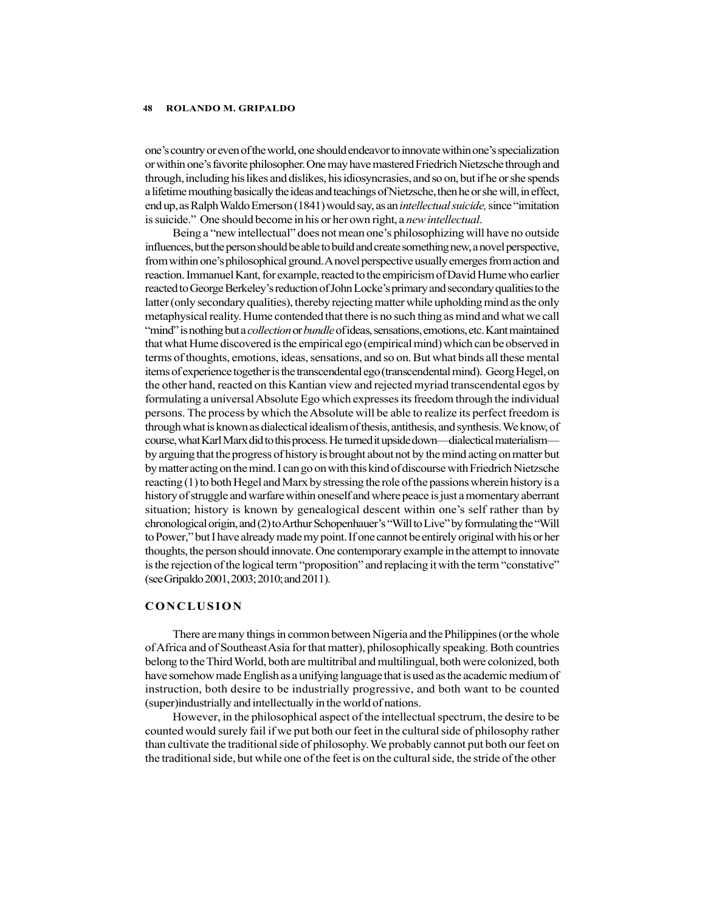one's country or even of the world, one should endeavor to innovate within one's specialization or within one's favorite philosopher. One may have mastered Friedrich Nietzsche through and through, including his likes and dislikes, his idiosyncrasies, and so on, but if he or she spends a lifetime mouthing basically the ideas and teachings of Nietzsche, then he or she will, in effect, end up, as Ralph Waldo Emerson (1841) would say, as an *intellectual suicide*, since "imitation is suicide." One should become in his or her own right, a *new intellectual*.

Being a "new intellectual" does not mean one's philosophizing will have no outside influences, but the person should be able to build and create something new, a novel perspective, from within one's philosophical ground. A novel perspective usually emerges from action and reaction. Immanuel Kant, for example, reacted to the empiricism of David Hume who earlier reacted to George Berkeley's reduction of John Locke's primary and secondary qualities to the latter (only secondary qualities), thereby rejecting matter while upholding mind as the only metaphysical reality. Hume contended that there is no such thing as mind and what we call "mind" is nothing but a *collection* or *bundle* of ideas, sensations, emotions, etc. Kant maintained that what Hume discovered is the empirical ego (empirical mind) which can be observed in terms of thoughts, emotions, ideas, sensations, and so on. But what binds all these mental items of experience together is the transcendental ego (transcendental mind). Georg Hegel, on the other hand, reacted on this Kantian view and rejected myriad transcendental egos by formulating a universal Absolute Ego which expresses its freedom through the individual persons. The process by which the Absolute will be able to realize its perfect freedom is through what is known as dialectical idealism of thesis, antithesis, and synthesis. We know, of course, what Karl Marx did to this process. He turned it upside down—dialectical materialism by arguing that the progress of history is brought about not by the mind acting on matter but by matter acting on the mind. I can go on with this kind of discourse with Friedrich Nietzsche reacting (1) to both Hegel and Marx by stressing the role of the passions wherein history is a history of struggle and warfare within oneself and where peace is just a momentary aberrant situation; history is known by genealogical descent within one's self rather than by chronological origin, and (2) to Arthur Schopenhauer's "Will to Live" by formulating the "Will to Power," but I have already made my point. If one cannot be entirely original with his or her thoughts, the person should innovate. One contemporary example in the attempt to innovate is the rejection of the logical term "proposition" and replacing it with the term "constative" (see Gripaldo 2001, 2003; 2010; and 2011). metaphysical reality. Hume contended that there is no such thing as mind and what we call<br>
"nind" is nothing that a collection or bundle of ideas, sensations, emotions, etc. Kant maintained<br>
"nind" is nothing that collecti

There are many things in common between Nigeria and the Philippines (or the whole of Africa and of Southeast Asia for that matter), philosophically speaking. Both countries belong to the Third World, both are multitribal and multilingual, both were colonized, both have somehow made English as a unifying language that is used as the academic medium of instruction, both desire to be industrially progressive, and both want to be counted (super)industrially and intellectually in the world of nations.

However, in the philosophical aspect of the intellectual spectrum, the desire to be counted would surely fail if we put both our feet in the cultural side of philosophy rather than cultivate the traditional side of philosophy. We probably cannot put both our feet on the traditional side, but while one of the feet is on the cultural side, the stride of the other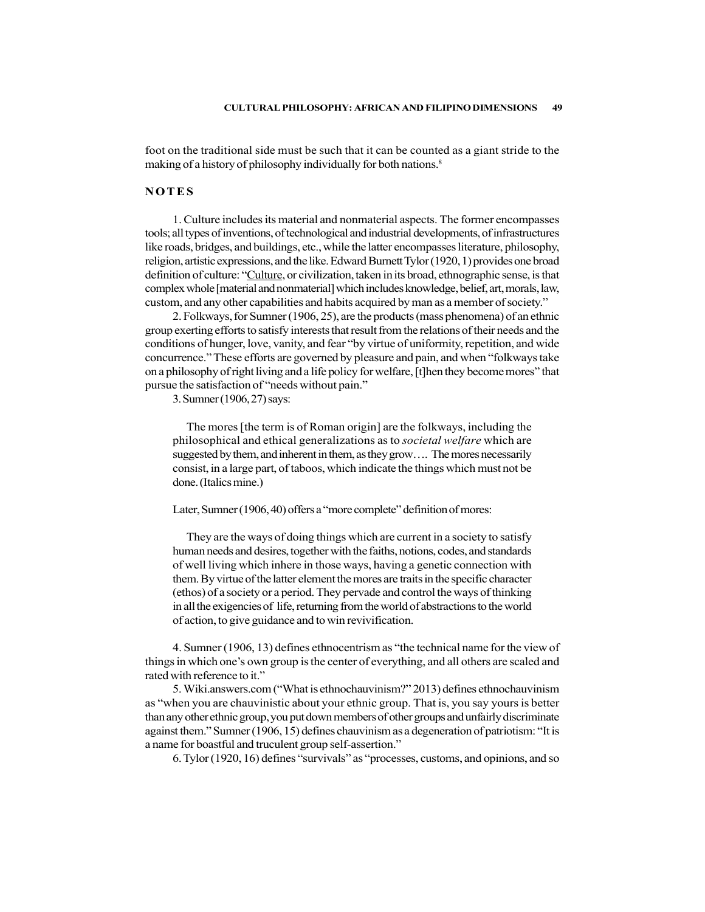foot on the traditional side must be such that it can be counted as a giant stride to the

CULTURAL PHILOSOPHY: AFRICAN AND FILIPINO DIMENSIONS 49<br>foot on the traditional side must be such that it can be counted as a giant stride to the<br>making of a history of philosophy individually for both nations.<sup>8</sup><br>N O T E 1. Culture includes its material and nonmaterial aspects. The former encompasses tools; all types of inventions, of technological and industrial developments, of infrastructures like roads, bridges, and buildings, etc., while the latter encompasses literature, philosophy, religion, artistic expressions, and the like. Edward Burnett Tylor (1920, 1) provides one broad definition of culture: "Culture, or civilization, taken in its broad, ethnographic sense, is that complex whole [material and nonmaterial] which includes knowledge, belief, art, morals, law, custom, and any other capabilities and habits acquired by man as a member of society."

2. Folkways, for Sumner (1906, 25), are the products (mass phenomena) of an ethnic group exerting efforts to satisfy interests that result from the relations of their needs and the conditions of hunger, love, vanity, and fear "by virtue of uniformity, repetition, and wide concurrence." These efforts are governed by pleasure and pain, and when "folkways take on a philosophy of right living and a life policy for welfare, [t]hen they become mores" that pursue the satisfaction of "needs without pain."

3. Sumner (1906, 27) says:

The mores [the term is of Roman origin] are the folkways, including the philosophical and ethical generalizations as to societal welfare which are suggested by them, and inherent in them, as they grow…. The mores necessarily consist, in a large part, of taboos, which indicate the things which must not be done. (Italics mine.)

Later, Sumner (1906, 40) offers a "more complete" definition of mores:

They are the ways of doing things which are current in a society to satisfy human needs and desires, together with the faiths, notions, codes, and standards of well living which inhere in those ways, having a genetic connection with them. By virtue of the latter element the mores are traits in the specific character (ethos) of a society or a period. They pervade and control the ways of thinking in all the exigencies of life, returning from the world of abstractions to the world of action, to give guidance and to win revivification.

4. Sumner (1906, 13) defines ethnocentrism as "the technical name for the view of things in which one's own group is the center of everything, and all others are scaled and rated with reference to it."

5. Wiki.answers.com ("What is ethnochauvinism?" 2013) defines ethnochauvinism as "when you are chauvinistic about your ethnic group. That is, you say yours is better than any other ethnic group, you put down members of other groups and unfairly discriminate against them." Sumner (1906, 15) defines chauvinism as a degeneration of patriotism: "It is a name for boastful and truculent group self-assertion."

6. Tylor (1920, 16) defines "survivals" as "processes, customs, and opinions, and so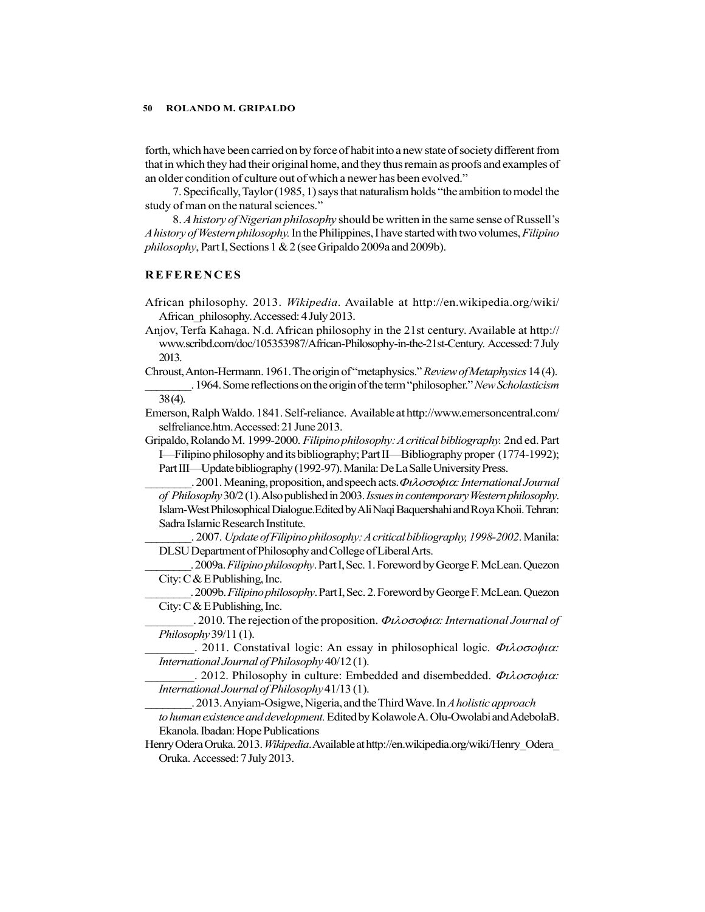forth, which have been carried on by force of habit into a new state of society different from that in which they had their original home, and they thus remain as proofs and examples of an older condition of culture out of which a newer has been evolved." **SOMETHEAT ASSET AS A SET AS A SET AND ASSET AS A SET ANOTE AN ABOVE AN ABOVE AN ABOVE AND ANOXEM AND A MONETAINMON AND A MONETAINMON AND A MONETAINMON AND A MONETAING A MONETAING A MONETAING A MONETAING A MONETAING A MON** 

7. Specifically, Taylor (1985, 1) says that naturalism holds "the ambition to model the study of man on the natural sciences."

8. A history of Nigerian philosophy should be written in the same sense of Russell's A history of Western philosophy. In the Philippines, I have started with two volumes, Filipino philosophy, Part I, Sections 1 & 2 (see Gripaldo 2009a and 2009b).

- African philosophy. 2013. Wikipedia. Available at http://en.wikipedia.org/wiki/ African\_philosophy. Accessed: 4 July 2013.
- Anjov, Terfa Kahaga. N.d. African philosophy in the 21st century. Available at http:// www.scribd.com/doc/105353987/African-Philosophy-in-the-21st-Century. Accessed: 7 July 2013.
- Chroust, Anton-Hermann. 1961. The origin of "metaphysics." Review of Metaphysics 14 (4). . 1964. Some reflections on the origin of the term "philosopher." New Scholasticism

38 (4).

Emerson, Ralph Waldo. 1841. Self-reliance. Available at http://www.emersoncentral.com/ selfreliance.htm. Accessed: 21 June 2013.

Gripaldo, Rolando M. 1999-2000. Filipino philosophy: A critical bibliography. 2nd ed. Part I—Filipino philosophy and its bibliography; Part II—Bibliography proper (1774-1992); Part III—Update bibliography (1992-97). Manila: De La Salle University Press.

 $2001$ . Meaning, proposition, and speech acts.  $\Phi \lambda$ *ooo* $\phi \iota \alpha$ *: International Journal* of Philosophy 30/2 (1). Also published in 2003. Issues in contemporary Western philosophy. Islam-West Philosophical Dialogue.Edited by Ali Naqi Baquershahi and Roya Khoii. Tehran: Sadra Islamic Research Institute.

2007. Update of Filipino philosophy: A critical bibliography, 1998-2002. Manila: DLSU Department of Philosophy and College of Liberal Arts.

. 2009a. Filipino philosophy. Part I, Sec. 1. Foreword by George F. McLean. Quezon City:  $C & E$  Publishing, Inc.

. 2009b. Filipino philosophy. Part I, Sec. 2. Foreword by George F. McLean. Quezon City: C & E Publishing, Inc.

 $\therefore$  2010. The rejection of the proposition.  $\Phi \iota \lambda o \sigma o \phi \iota \alpha$ : International Journal of Philosophy 39/11 (1).

2011. Constatival logic: An essay in philosophical logic.  $\Phi \iota \lambda o \sigma o \phi \iota \alpha$ : International Journal of Philosophy 40/12 (1).

2012. Philosophy in culture: Embedded and disembedded.  $\Phi \iota \lambda o \sigma o \phi \iota \alpha$ : International Journal of Philosophy 41/13 (1).

. 2013. Anyiam-Osigwe, Nigeria, and the Third Wave. In A holistic approach to human existence and development. Edited by Kolawole A. Olu-Owolabi and AdebolaB. Ekanola. Ibadan: Hope Publications

Henry Odera Oruka. 2013. Wikipedia. Available at http://en.wikipedia.org/wiki/Henry Odera Oruka. Accessed: 7 July 2013.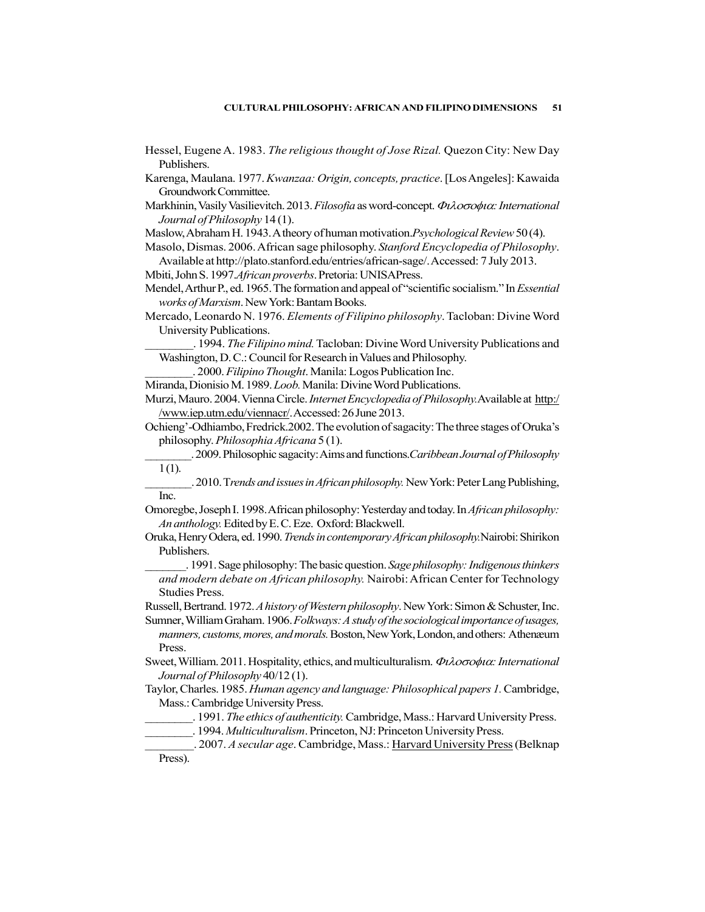- Hessel, Eugene A. 1983. The religious thought of Jose Rizal. Quezon City: New Day Publishers.
- Karenga, Maulana. 1977. Kwanzaa: Origin, concepts, practice. [Los Angeles]: Kawaida Groundwork Committee.
- Markhinin, Vasily Vasilievitch. 2013. Filosofia as word-concept.  $\Phi\lambda$ 00040: International Journal of Philosophy 14 (1).
- Maslow, Abraham H. 1943. A theory of human motivation.Psychological Review 50 (4).
- Masolo, Dismas. 2006. African sage philosophy. Stanford Encyclopedia of Philosophy. Available at http://plato.stanford.edu/entries/african-sage/. Accessed: 7 July 2013.
- Mbiti, John S. 1997.African proverbs. Pretoria: UNISAPress.
- Mendel, Arthur P., ed. 1965. The formation and appeal of "scientific socialism." In *Essential* works of Marxism. New York: Bantam Books.
- Mercado, Leonardo N. 1976. Elements of Filipino philosophy. Tacloban: Divine Word University Publications.
- . 1994. The Filipino mind. Tacloban: Divine Word University Publications and Washington, D. C.: Council for Research in Values and Philosophy.
	- . 2000. Filipino Thought. Manila: Logos Publication Inc.
- Miranda, Dionisio M. 1989. Loob. Manila: Divine Word Publications.
- Murzi, Mauro. 2004. Vienna Circle. *Internet Encyclopedia of Philosophy.* Available at http:/ /www.iep.utm.edu/viennacr/. Accessed: 26 June 2013.
- Ochieng'-Odhiambo, Fredrick.2002. The evolution of sagacity: The three stages of Oruka's philosophy. Philosophia Africana 5 (1).
- . 2009. Philosophic sagacity: Aims and functions. Caribbean Journal of Philosophy  $1(1)$ .
- . 2010. Trends and issues in African philosophy. New York: Peter Lang Publishing, Inc.
- Omoregbe, Joseph I. 1998. African philosophy: Yesterday and today. In African philosophy: An anthology. Edited by E. C. Eze. Oxford: Blackwell.
- Oruka, Henry Odera, ed. 1990. Trends in contemporary African philosophy. Nairobi: Shirikon Publishers.
- . 1991. Sage philosophy: The basic question. Sage philosophy: Indigenous thinkers and modern debate on African philosophy. Nairobi: African Center for Technology Studies Press.
- Russell, Bertrand. 1972. A history of Western philosophy. New York: Simon & Schuster, Inc.
- Sumner, William Graham. 1906. Folkways: A study of the sociological importance of usages, manners, customs, mores, and morals. Boston, New York, London, and others: Athenæum Press.
- Sweet, William. 2011. Hospitality, ethics, and multiculturalism.  $\Phi \lambda$ *ooo* $\phi \mu \alpha$ *: International* Journal of Philosophy 40/12 (1).
- Taylor, Charles. 1985. Human agency and language: Philosophical papers 1. Cambridge, Mass.: Cambridge University Press.
	- . 1991. The ethics of authenticity. Cambridge, Mass.: Harvard University Press.
	- . 1994. *Multiculturalism*. Princeton, NJ: Princeton University Press.

\_\_. 2007. A secular age. Cambridge, Mass.: Harvard University Press (Belknap Press).